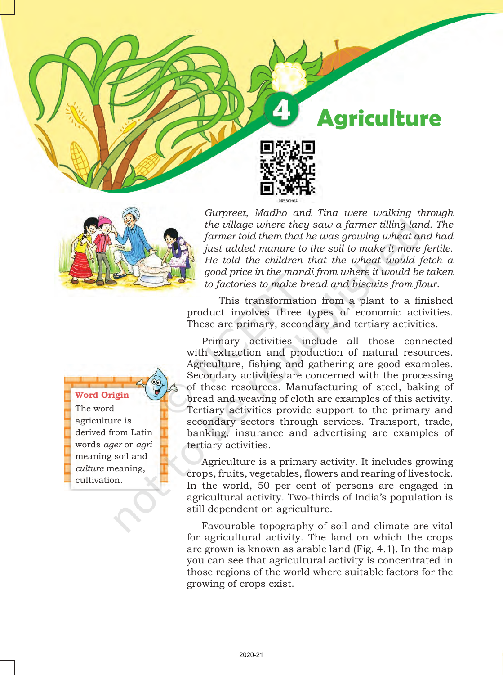



*Gurpreet, Madho and Tina were walking through the village where they saw a farmer tilling land. The farmer told them that he was growing wheat and had just added manure to the soil to make it more fertile. He told the children that the wheat would fetch a good price in the mandi from where it would be taken to factories to make bread and biscuits from flour.*

This transformation from a plant to a finished product involves three types of economic activities. These are primary, secondary and tertiary activities.

Primary activities include all those connected with extraction and production of natural resources. Agriculture, fishing and gathering are good examples. Secondary activities are concerned with the processing of these resources. Manufacturing of steel, baking of bread and weaving of cloth are examples of this activity. Tertiary activities provide support to the primary and secondary sectors through services. Transport, trade, banking, insurance and advertising are examples of tertiary activities.

Agriculture is a primary activity. It includes growing crops, fruits, vegetables, flowers and rearing of livestock. In the world, 50 per cent of persons are engaged in agricultural activity. Two-thirds of India's population is still dependent on agriculture.

Favourable topography of soil and climate are vital for agricultural activity. The land on which the crops are grown is known as arable land (Fig. 4.1). In the map you can see that agricultural activity is concentrated in those regions of the world where suitable factors for the growing of crops exist.

### Word Origin

The word agriculture is derived from Latin words *ager* or *agri* meaning soil and *culture* meaning, cultivation.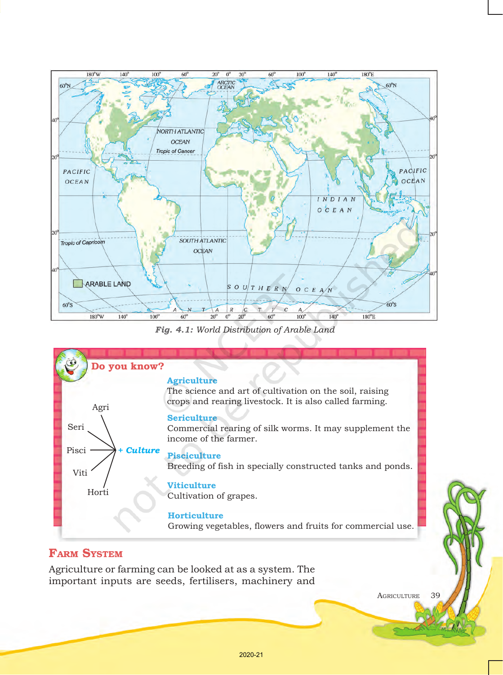

*Fig. 4.1: World Distribution of Arable Land*



# **FARM SYSTEM**

Agriculture or farming can be looked at as a system. The important inputs are seeds, fertilisers, machinery and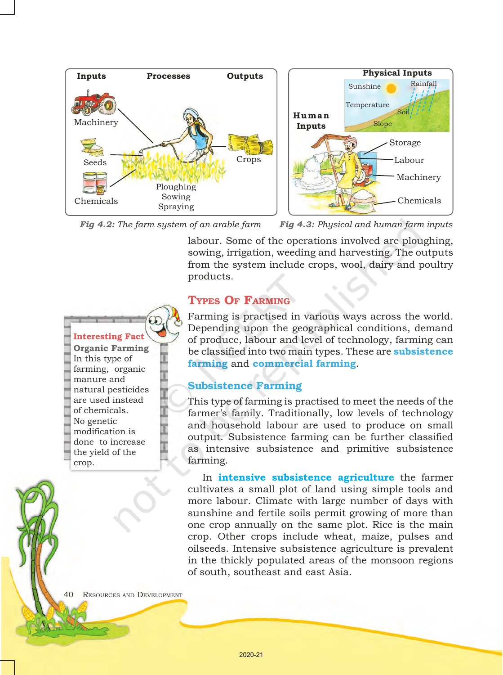

*Fig 4.2: The farm system of an arable farm Fig 4.3: Physical and human farm inputs*

labour. Some of the operations involved are ploughing, sowing, irrigation, weeding and harvesting. The outputs from the system include crops, wool, dairy and poultry products.

# Types Of Farming

Farming is practised in various ways across the world. Depending upon the geographical conditions, demand of produce, labour and level of technology, farming can be classified into two main types. These are **subsistence farming** and **commercial farming**.

# Subsistence Farming

This type of farming is practised to meet the needs of the farmer's family. Traditionally, low levels of technology and household labour are used to produce on small output. Subsistence farming can be further classified as intensive subsistence and primitive subsistence farming.

In **intensive subsistence agriculture** the farmer cultivates a small plot of land using simple tools and more labour. Climate with large number of days with sunshine and fertile soils permit growing of more than one crop annually on the same plot. Rice is the main crop. Other crops include wheat, maize, pulses and oilseeds. Intensive subsistence agriculture is prevalent in the thickly populated areas of the monsoon regions of south, southeast and east Asia.

40 Resources and Development

Interesting Fact **Organic Farming** In this type of farming, organic manure and natural pesticides are used instead of chemicals. No genetic modification is done to increase the yield of the

crop.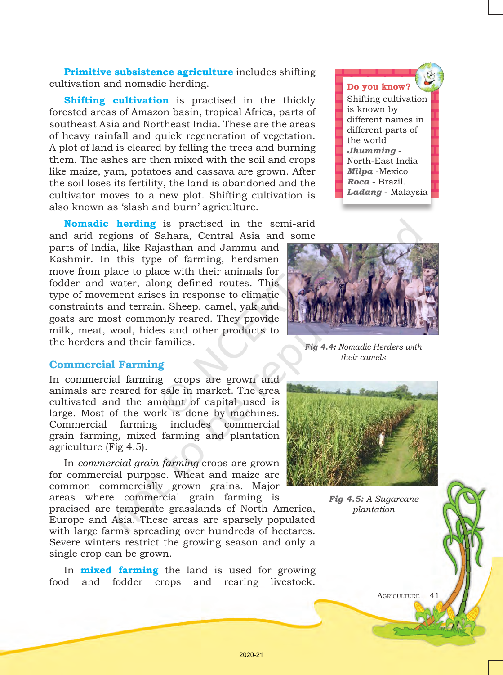**Primitive subsistence agriculture** includes shifting cultivation and nomadic herding.

**Shifting cultivation** is practised in the thickly forested areas of Amazon basin, tropical Africa, parts of southeast Asia and Northeast India. These are the areas of heavy rainfall and quick regeneration of vegetation. A plot of land is cleared by felling the trees and burning them. The ashes are then mixed with the soil and crops like maize, yam, potatoes and cassava are grown. After the soil loses its fertility, the land is abandoned and the cultivator moves to a new plot. Shifting cultivation is also known as 'slash and burn' agriculture.

**Nomadic herding** is practised in the semi-arid and arid regions of Sahara, Central Asia and some

parts of India, like Rajasthan and Jammu and Kashmir. In this type of farming, herdsmen move from place to place with their animals for fodder and water, along defined routes. This type of movement arises in response to climatic constraints and terrain. Sheep, camel, yak and goats are most commonly reared. They provide milk, meat, wool, hides and other products to the herders and their families.

## Commercial Farming

In commercial farming crops are grown and animals are reared for sale in market. The area cultivated and the amount of capital used is large. Most of the work is done by machines. Commercial farming includes commercial grain farming, mixed farming and plantation agriculture (Fig 4.5).

In *commercial grain farming* crops are grown for commercial purpose. Wheat and maize are common commercially grown grains. Major areas where commercial grain farming is pracised are temperate grasslands of North America, Europe and Asia. These areas are sparsely populated with large farms spreading over hundreds of hectares. Severe winters restrict the growing season and only a single crop can be grown.

In **mixed farming** the land is used for growing food and fodder crops and rearing livestock.





*Fig 4.4: Nomadic Herders with their camels*



*Fig 4.5: A Sugarcane plantation*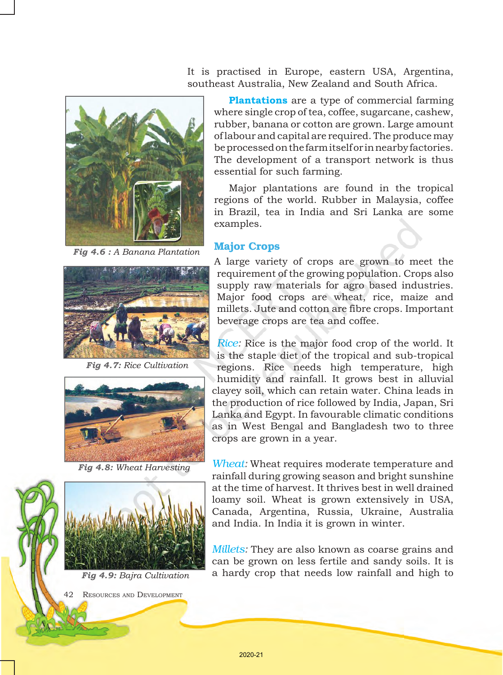It is practised in Europe, eastern USA, Argentina, southeast Australia, New Zealand and South Africa.



*Fig 4.6 : A Banana Plantation*



*Fig 4.7: Rice Cultivation*



*Fig 4.8: Wheat Harvesting*



*Fig 4.9: Bajra Cultivation*

42 RESOURCES AND DEVELOPMENT

**Plantations** are a type of commercial farming where single crop of tea, coffee, sugarcane, cashew, rubber, banana or cotton are grown. Large amount of labour and capital are required. The produce may be processed on the farm itself or in nearby factories. The development of a transport network is thus essential for such farming.

Major plantations are found in the tropical regions of the world. Rubber in Malaysia, coffee in Brazil, tea in India and Sri Lanka are some examples.

# Major Crops

A large variety of crops are grown to meet the requirement of the growing population. Crops also supply raw materials for agro based industries. Major food crops are wheat, rice, maize and millets. Jute and cotton are fibre crops. Important beverage crops are tea and coffee.

*Rice:* Rice is the major food crop of the world. It is the staple diet of the tropical and sub-tropical regions. Rice needs high temperature, high humidity and rainfall. It grows best in alluvial clayey soil, which can retain water. China leads in the production of rice followed by India, Japan, Sri Lanka and Egypt. In favourable climatic conditions as in West Bengal and Bangladesh two to three crops are grown in a year.

*Wheat:* Wheat requires moderate temperature and rainfall during growing season and bright sunshine at the time of harvest. It thrives best in well drained loamy soil. Wheat is grown extensively in USA, Canada, Argentina, Russia, Ukraine, Australia and India. In India it is grown in winter.

*Millets:* They are also known as coarse grains and can be grown on less fertile and sandy soils. It is a hardy crop that needs low rainfall and high to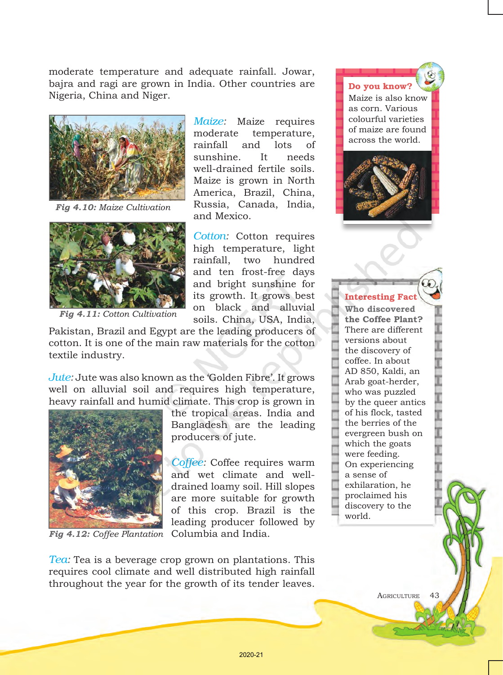moderate temperature and adequate rainfall. Jowar, bajra and ragi are grown in India. Other countries are Nigeria, China and Niger.



*Fig 4.10: Maize Cultivation*



*Fig 4.11: Cotton Cultivation*

*Maize:* Maize requires moderate temperature, rainfall and lots of sunshine. It needs well-drained fertile soils. Maize is grown in North America, Brazil, China, Russia, Canada, India, and Mexico.

*Cotton:* Cotton requires high temperature, light rainfall, two hundred and ten frost-free days and bright sunshine for its growth. It grows best on black and alluvial soils. China, USA, India,

Pakistan, Brazil and Egypt are the leading producers of cotton. It is one of the main raw materials for the cotton textile industry.

*Jute:* Jute was also known as the 'Golden Fibre'. It grows well on alluvial soil and requires high temperature, heavy rainfall and humid climate. This crop is grown in



Fig 4.12: Coffee Plantation Columbia and India.

the tropical areas. India and Bangladesh are the leading producers of jute.

*Coffee:* Coffee requires warm and wet climate and welldrained loamy soil. Hill slopes are more suitable for growth of this crop. Brazil is the leading producer followed by

*Tea:* Tea is a beverage crop grown on plantations. This requires cool climate and well distributed high rainfall throughout the year for the growth of its tender leaves.

Do you know? Maize is also know as corn. Various colourful varieties of maize are found across the world.



### Interesting Fact

**Who discovered the Coffee Plant?** There are different versions about the discovery of coffee. In about AD 850, Kaldi, an Arab goat-herder, who was puzzled by the queer antics of his flock, tasted the berries of the evergreen bush on which the goats were feeding. On experiencing a sense of exhilaration, he proclaimed his discovery to the world.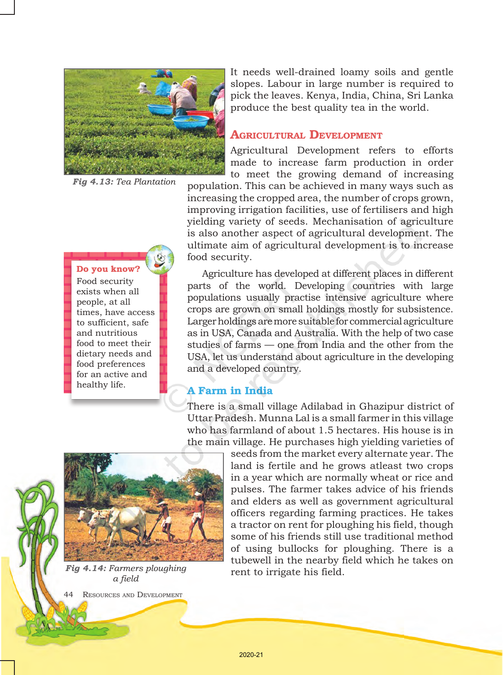

*Fig 4.13: Tea Plantation* 

### Do you know?

Food security exists when all people, at all times, have access to sufficient, safe and nutritious food to meet their dietary needs and food preferences for an active and healthy life.

It needs well-drained loamy soils and gentle slopes. Labour in large number is required to pick the leaves. Kenya, India, China, Sri Lanka produce the best quality tea in the world.

## AGRICULTURAL DEVELOPMENT

Agricultural Development refers to efforts made to increase farm production in order to meet the growing demand of increasing

population. This can be achieved in many ways such as increasing the cropped area, the number of crops grown, improving irrigation facilities, use of fertilisers and high yielding variety of seeds. Mechanisation of agriculture is also another aspect of agricultural development. The ultimate aim of agricultural development is to increase food security.

Agriculture has developed at different places in different parts of the world. Developing countries with large populations usually practise intensive agriculture where crops are grown on small holdings mostly for subsistence. Larger holdings are more suitable for commercial agriculture as in USA, Canada and Australia. With the help of two case studies of farms — one from India and the other from the USA, let us understand about agriculture in the developing and a developed country.

### A Farm in India

There is a small village Adilabad in Ghazipur district of Uttar Pradesh. Munna Lal is a small farmer in this village who has farmland of about 1.5 hectares. His house is in the main village. He purchases high yielding varieties of

seeds from the market every alternate year. The land is fertile and he grows atleast two crops in a year which are normally wheat or rice and pulses. The farmer takes advice of his friends and elders as well as government agricultural officers regarding farming practices. He takes a tractor on rent for ploughing his field, though some of his friends still use traditional method of using bullocks for ploughing. There is a tubewell in the nearby field which he takes on rent to irrigate his field.



*Fig 4.14: Farmers ploughing a field*

RESOURCES AND DEVELOPMENT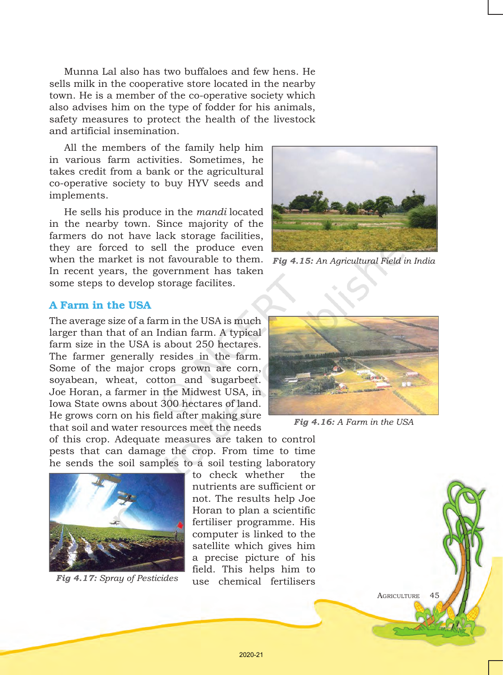Munna Lal also has two buffaloes and few hens. He sells milk in the cooperative store located in the nearby town. He is a member of the co-operative society which also advises him on the type of fodder for his animals, safety measures to protect the health of the livestock and artificial insemination.

All the members of the family help him in various farm activities. Sometimes, he takes credit from a bank or the agricultural co-operative society to buy HYV seeds and implements.

He sells his produce in the *mandi* located in the nearby town. Since majority of the farmers do not have lack storage facilities, they are forced to sell the produce even when the market is not favourable to them. In recent years, the government has taken some steps to develop storage facilites.



*Fig 4.15: An Agricultural Field in India*

# A Farm in the USA

The average size of a farm in the USA is much larger than that of an Indian farm. A typical farm size in the USA is about 250 hectares. The farmer generally resides in the farm. Some of the major crops grown are corn, soyabean, wheat, cotton and sugarbeet. Joe Horan, a farmer in the Midwest USA, in Iowa State owns about 300 hectares of land. He grows corn on his field after making sure that soil and water resources meet the needs

of this crop. Adequate measures are taken to control pests that can damage the crop. From time to time he sends the soil samples to a soil testing laboratory



to check whether the nutrients are sufficient or not. The results help Joe Horan to plan a scientific fertiliser programme. His computer is linked to the satellite which gives him a precise picture of his field. This helps him to use chemical fertilisers *Fig 4.17: Spray of Pesticides*



*Fig 4.16: A Farm in the USA*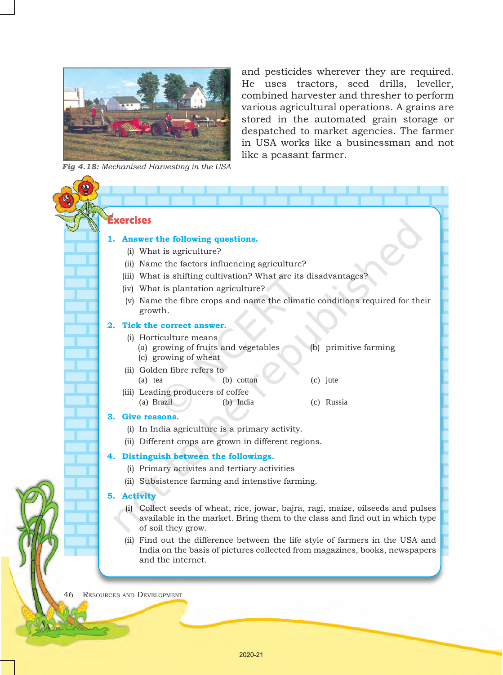

*Fig 4.18: Mechanised Harvesting in the USA*

and pesticides wherever they are required. He uses tractors, seed drills, leveller, combined harvester and thresher to perform various agricultural operations. A grains are stored in the automated grain storage or despatched to market agencies. The farmer in USA works like a businessman and not like a peasant farmer.

# **Exercises**

#### **1. Answer the following questions.**

- (i) What is agriculture?
- (ii) Name the factors influencing agriculture?
- (iii) What is shifting cultivation? What are its disadvantages?
- (iv) What is plantation agriculture?
- (v) Name the fibre crops and name the climatic conditions required for their growth.

. .

### **2. Tick the correct answer.**

- (i) Horticulture means
	- (a) growing of fruits and vegetables (b) primitive farming (c) growing of wheat
- (ii) Golden fibre refers to (a) tea (b) cotton (c) jute
- (iii) Leading producers of coffee (a) Brazil (b) India (c) Russia

#### **3. Give reasons.**

- (i) In India agriculture is a primary activity.
- (ii) Different crops are grown in different regions.

#### **4. Distinguish between the followings.**

- (i) Primary activites and tertiary activities
- (ii) Subsistence farming and intenstive farming.

#### **5. Activity**

- (i) Collect seeds of wheat, rice, jowar, bajra, ragi, maize, oilseeds and pulses available in the market. Bring them to the class and find out in which type of soil they grow.
- (ii) Find out the difference between the life style of farmers in the USA and India on the basis of pictures collected from magazines, books, newspapers and the internet.

46 Resources and Development